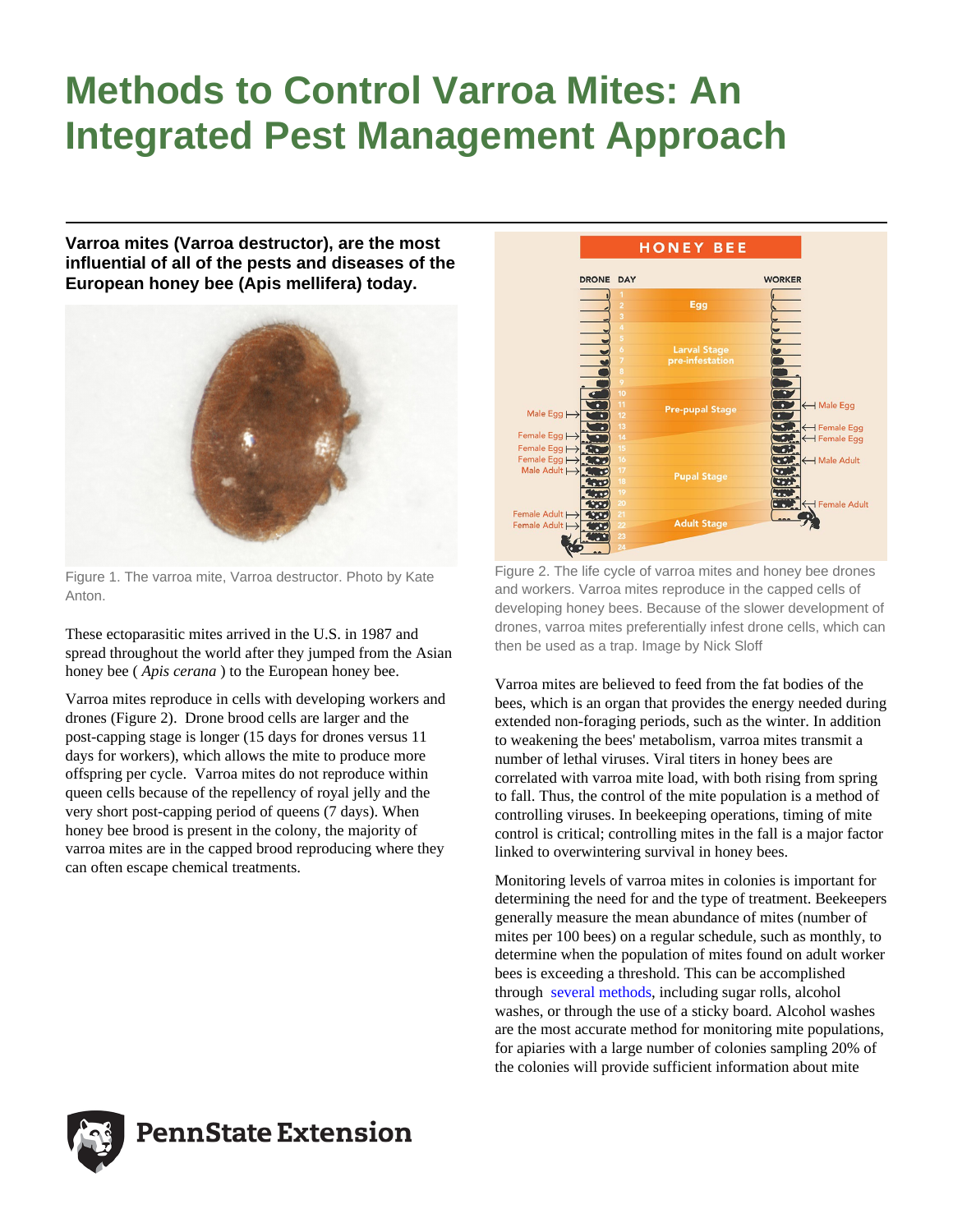# **Methods to Control Varroa Mites: An Integrated Pest Management Approach**

**Varroa mites (Varroa destructor), are the most influential of all of the pests and diseases of the European honey bee (Apis mellifera) today.**



Figure 1. The varroa mite, Varroa destructor. Photo by Kate Anton.

These ectoparasitic mites arrived in the U.S. in 1987 and spread throughout the world after they jumped from the Asian honey bee ( *Apis cerana* ) to the European honey bee.

Varroa mites reproduce in cells with developing workers and drones (Figure 2). Drone brood cells are larger and the post-capping stage is longer (15 days for drones versus 11 days for workers), which allows the mite to produce more offspring per cycle. Varroa mites do not reproduce within queen cells because of the repellency of royal jelly and the very short post-capping period of queens (7 days). When honey bee brood is present in the colony, the majority of varroa mites are in the capped brood reproducing where they can often escape chemical treatments.



Figure 2. The life cycle of varroa mites and honey bee drones and workers. Varroa mites reproduce in the capped cells of developing honey bees. Because of the slower development of drones, varroa mites preferentially infest drone cells, which can then be used as a trap. Image by Nick Sloff

Varroa mites are believed to feed from the fat bodies of the bees, which is an organ that provides the energy needed during extended non-foraging periods, such as the winter. In addition to weakening the bees' metabolism, varroa mites transmit a number of lethal viruses. Viral titers in honey bees are correlated with varroa mite load, with both rising from spring to fall. Thus, the control of the mite population is a method of controlling viruses. In beekeeping operations, timing of mite control is critical; controlling mites in the fall is a major factor linked to overwintering survival in honey bees.

Monitoring levels of varroa mites in colonies is important for determining the need for and the type of treatment. Beekeepers generally measure the mean abundance of mites (number of mites per 100 bees) on a regular schedule, such as monthly, to determine when the population of mites found on adult worker bees is exceeding a threshold. This can be accomplished through [several methods,](https://lopezuribelab.com/varroa-mite-monitoring/) including sugar rolls, alcohol washes, or through the use of a sticky board. Alcohol washes are the most accurate method for monitoring mite populations, for apiaries with a large number of colonies sampling 20% of the colonies will provide sufficient information about mite



**PennState Extension**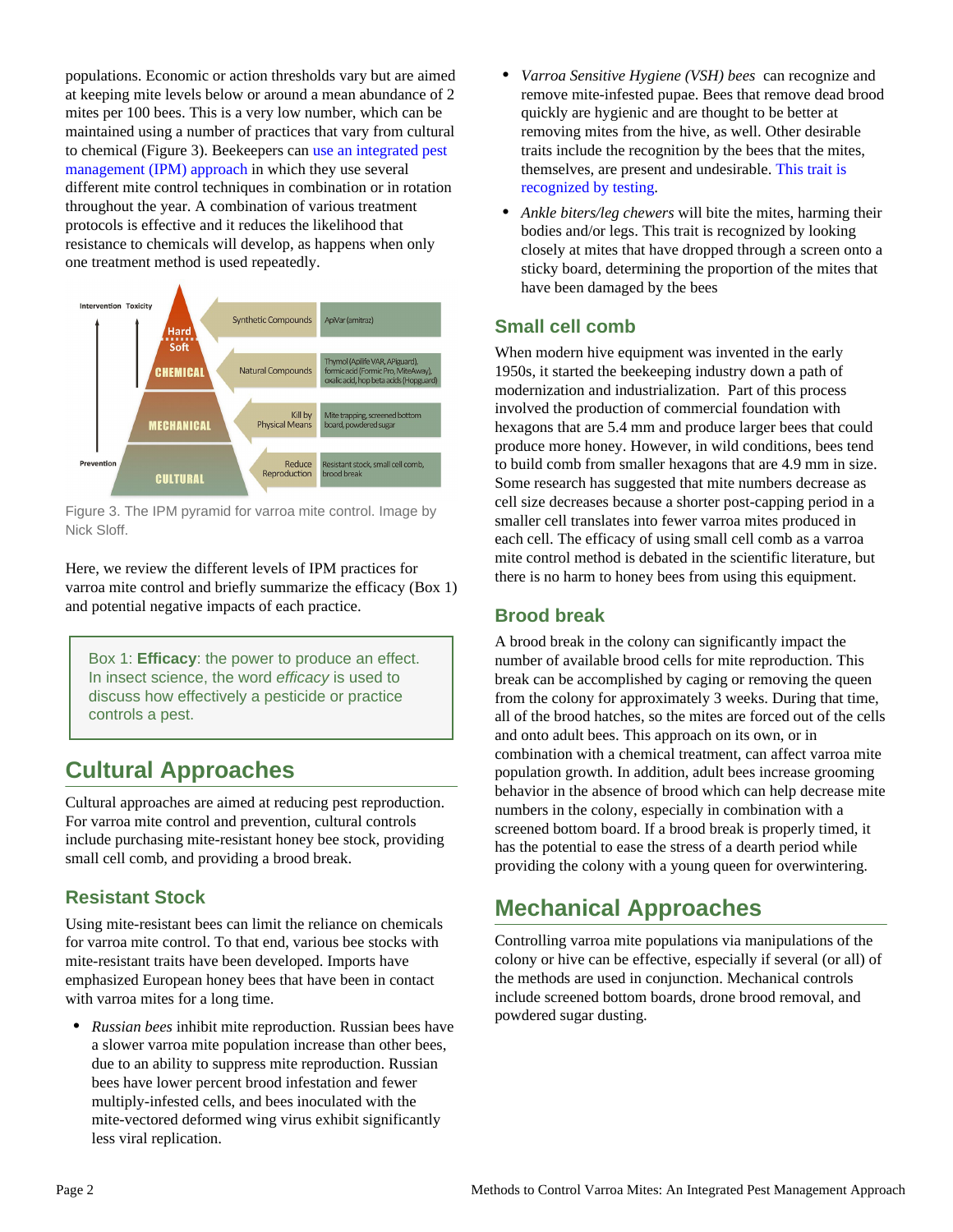populations. Economic or action thresholds vary but are aimed at keeping mite levels below or around a mean abundance of 2 mites per 100 bees. This is a very low number, which can be maintained using a number of practices that vary from cultural to chemical (Figure 3). Beekeepers can [use an integrated pest](https://lopezuribelab.com/ipm/) [management \(IPM\) approach](https://lopezuribelab.com/ipm/) in which they use several different mite control techniques in combination or in rotation throughout the year. A combination of various treatment protocols is effective and it reduces the likelihood that resistance to chemicals will develop, as happens when only one treatment method is used repeatedly.



Figure 3. The IPM pyramid for varroa mite control. Image by Nick Sloff.

Here, we review the different levels of IPM practices for varroa mite control and briefly summarize the efficacy (Box 1) and potential negative impacts of each practice.

Box 1: **Efficacy**: the power to produce an effect. In insect science, the word efficacy is used to discuss how effectively a pesticide or practice controls a pest.

# **Cultural Approaches**

Cultural approaches are aimed at reducing pest reproduction. For varroa mite control and prevention, cultural controls include purchasing mite-resistant honey bee stock, providing small cell comb, and providing a brood break.

# **Resistant Stock**

Using mite-resistant bees can limit the reliance on chemicals for varroa mite control. To that end, various bee stocks with mite-resistant traits have been developed. Imports have emphasized European honey bees that have been in contact with varroa mites for a long time.

• *Russian bees* inhibit mite reproduction. Russian bees have a slower varroa mite population increase than other bees, due to an ability to suppress mite reproduction. Russian bees have lower percent brood infestation and fewer multiply-infested cells, and bees inoculated with the mite-vectored deformed wing virus exhibit significantly less viral replication.

- *Varroa Sensitive Hygiene (VSH) bees* can recognize and remove mite-infested pupae. Bees that remove dead brood quickly are hygienic and are thought to be better at removing mites from the hive, as well. Other desirable traits include the recognition by the bees that the mites, themselves, are present and undesirable. [This trait is](https://articles.extension.org/pages/21762/testing-honey-bee-colonies-for-hygienic-behavior) [recognized by testing.](https://articles.extension.org/pages/21762/testing-honey-bee-colonies-for-hygienic-behavior)
- *Ankle biters/leg chewers* will bite the mites, harming their bodies and/or legs. This trait is recognized by looking closely at mites that have dropped through a screen onto a sticky board, determining the proportion of the mites that have been damaged by the bees

### **Small cell comb**

When modern hive equipment was invented in the early 1950s, it started the beekeeping industry down a path of modernization and industrialization. Part of this process involved the production of commercial foundation with hexagons that are 5.4 mm and produce larger bees that could produce more honey. However, in wild conditions, bees tend to build comb from smaller hexagons that are 4.9 mm in size. Some research has suggested that mite numbers decrease as cell size decreases because a shorter post-capping period in a smaller cell translates into fewer varroa mites produced in each cell. The efficacy of using small cell comb as a varroa mite control method is debated in the scientific literature, but there is no harm to honey bees from using this equipment.

#### **Brood break**

A brood break in the colony can significantly impact the number of available brood cells for mite reproduction. This break can be accomplished by caging or removing the queen from the colony for approximately 3 weeks. During that time, all of the brood hatches, so the mites are forced out of the cells and onto adult bees. This approach on its own, or in combination with a chemical treatment, can affect varroa mite population growth. In addition, adult bees increase grooming behavior in the absence of brood which can help decrease mite numbers in the colony, especially in combination with a screened bottom board. If a brood break is properly timed, it has the potential to ease the stress of a dearth period while providing the colony with a young queen for overwintering.

# **Mechanical Approaches**

Controlling varroa mite populations via manipulations of the colony or hive can be effective, especially if several (or all) of the methods are used in conjunction. Mechanical controls include screened bottom boards, drone brood removal, and powdered sugar dusting.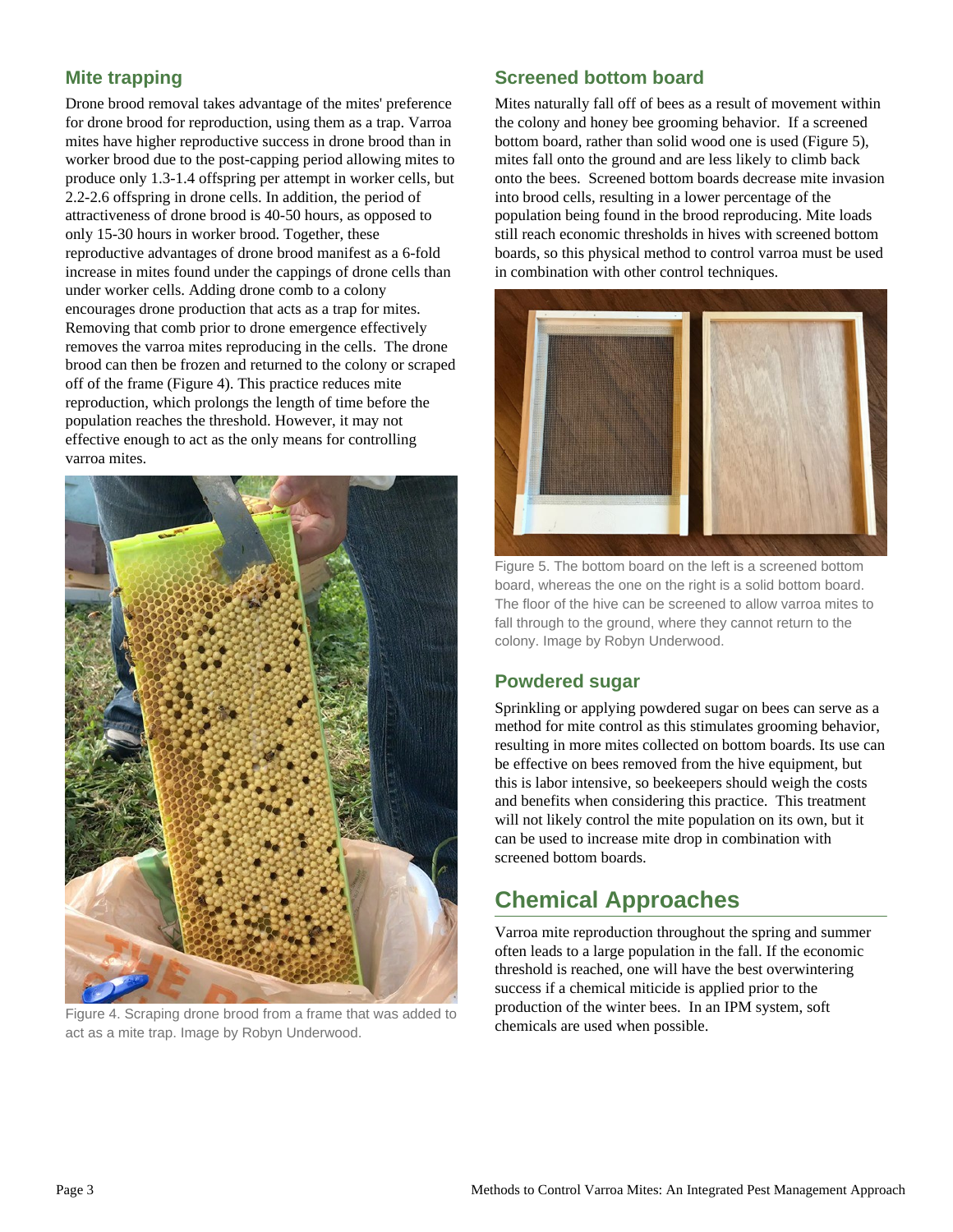# **Mite trapping**

Drone brood removal takes advantage of the mites' preference for drone brood for reproduction, using them as a trap. Varroa mites have higher reproductive success in drone brood than in worker brood due to the post-capping period allowing mites to produce only 1.3-1.4 offspring per attempt in worker cells, but 2.2-2.6 offspring in drone cells. In addition, the period of attractiveness of drone brood is 40-50 hours, as opposed to only 15-30 hours in worker brood. Together, these reproductive advantages of drone brood manifest as a 6-fold increase in mites found under the cappings of drone cells than under worker cells. Adding drone comb to a colony encourages drone production that acts as a trap for mites. Removing that comb prior to drone emergence effectively removes the varroa mites reproducing in the cells. The drone brood can then be frozen and returned to the colony or scraped off of the frame (Figure 4). This practice reduces mite reproduction, which prolongs the length of time before the population reaches the threshold. However, it may not effective enough to act as the only means for controlling varroa mites.



Figure 4. Scraping drone brood from a frame that was added to act as a mite trap. Image by Robyn Underwood.

#### **Screened bottom board**

Mites naturally fall off of bees as a result of movement within the colony and honey bee grooming behavior. If a screened bottom board, rather than solid wood one is used (Figure 5), mites fall onto the ground and are less likely to climb back onto the bees. Screened bottom boards decrease mite invasion into brood cells, resulting in a lower percentage of the population being found in the brood reproducing. Mite loads still reach economic thresholds in hives with screened bottom boards, so this physical method to control varroa must be used in combination with other control techniques.



Figure 5. The bottom board on the left is a screened bottom board, whereas the one on the right is a solid bottom board. The floor of the hive can be screened to allow varroa mites to fall through to the ground, where they cannot return to the colony. Image by Robyn Underwood.

#### **Powdered sugar**

Sprinkling or applying powdered sugar on bees can serve as a method for mite control as this stimulates grooming behavior, resulting in more mites collected on bottom boards. Its use can be effective on bees removed from the hive equipment, but this is labor intensive, so beekeepers should weigh the costs and benefits when considering this practice. This treatment will not likely control the mite population on its own, but it can be used to increase mite drop in combination with screened bottom boards.

# **Chemical Approaches**

Varroa mite reproduction throughout the spring and summer often leads to a large population in the fall. If the economic threshold is reached, one will have the best overwintering success if a chemical miticide is applied prior to the production of the winter bees. In an IPM system, soft chemicals are used when possible.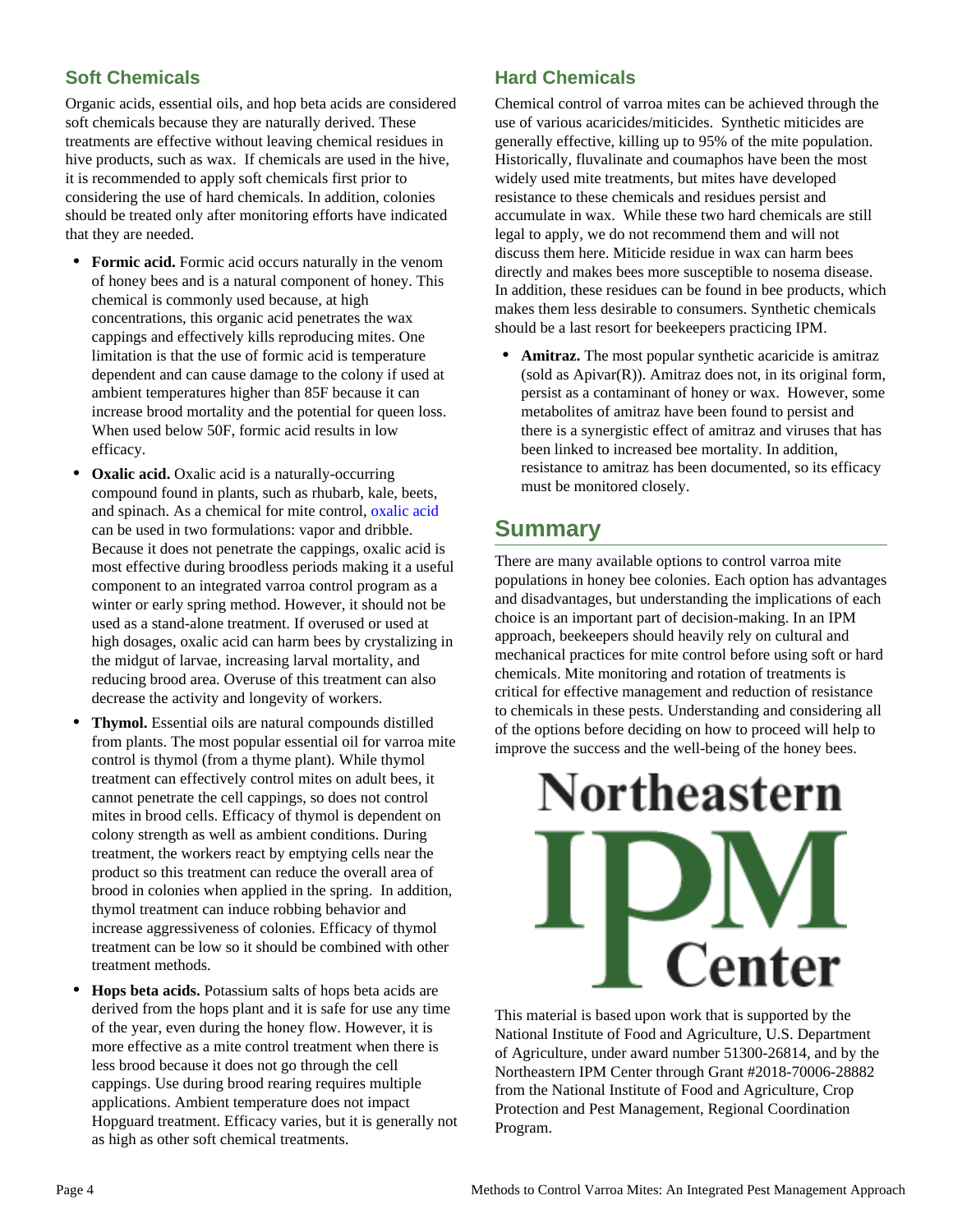# **Soft Chemicals**

Organic acids, essential oils, and hop beta acids are considered soft chemicals because they are naturally derived. These treatments are effective without leaving chemical residues in hive products, such as wax. If chemicals are used in the hive, it is recommended to apply soft chemicals first prior to considering the use of hard chemicals. In addition, colonies should be treated only after monitoring efforts have indicated that they are needed.

- **Formic acid.** Formic acid occurs naturally in the venom of honey bees and is a natural component of honey. This chemical is commonly used because, at high concentrations, this organic acid penetrates the wax cappings and effectively kills reproducing mites. One limitation is that the use of formic acid is temperature dependent and can cause damage to the colony if used at ambient temperatures higher than 85F because it can increase brood mortality and the potential for queen loss. When used below 50F, formic acid results in low efficacy.
- **Oxalic acid.** Oxalic acid is a naturally-occurring compound found in plants, such as rhubarb, kale, beets, and spinach. As a chemical for mite control, [oxalic acid](https://lopezuribelab.com/oxalic-acid-treatment-protocols/) can be used in two formulations: vapor and dribble. Because it does not penetrate the cappings, oxalic acid is most effective during broodless periods making it a useful component to an integrated varroa control program as a winter or early spring method. However, it should not be used as a stand-alone treatment. If overused or used at high dosages, oxalic acid can harm bees by crystalizing in the midgut of larvae, increasing larval mortality, and reducing brood area. Overuse of this treatment can also decrease the activity and longevity of workers.
- **Thymol.** Essential oils are natural compounds distilled from plants. The most popular essential oil for varroa mite control is thymol (from a thyme plant). While thymol treatment can effectively control mites on adult bees, it cannot penetrate the cell cappings, so does not control mites in brood cells. Efficacy of thymol is dependent on colony strength as well as ambient conditions. During treatment, the workers react by emptying cells near the product so this treatment can reduce the overall area of brood in colonies when applied in the spring. In addition, thymol treatment can induce robbing behavior and increase aggressiveness of colonies. Efficacy of thymol treatment can be low so it should be combined with other treatment methods.
- **Hops beta acids.** Potassium salts of hops beta acids are derived from the hops plant and it is safe for use any time of the year, even during the honey flow. However, it is more effective as a mite control treatment when there is less brood because it does not go through the cell cappings. Use during brood rearing requires multiple applications. Ambient temperature does not impact Hopguard treatment. Efficacy varies, but it is generally not as high as other soft chemical treatments.

## **Hard Chemicals**

Chemical control of varroa mites can be achieved through the use of various acaricides/miticides. Synthetic miticides are generally effective, killing up to 95% of the mite population. Historically, fluvalinate and coumaphos have been the most widely used mite treatments, but mites have developed resistance to these chemicals and residues persist and accumulate in wax. While these two hard chemicals are still legal to apply, we do not recommend them and will not discuss them here. Miticide residue in wax can harm bees directly and makes bees more susceptible to nosema disease. In addition, these residues can be found in bee products, which makes them less desirable to consumers. Synthetic chemicals should be a last resort for beekeepers practicing IPM.

Amitraz. The most popular synthetic acaricide is amitraz  $(sold as Apivar(R))$ . Amitraz does not, in its original form, persist as a contaminant of honey or wax. However, some metabolites of amitraz have been found to persist and there is a synergistic effect of amitraz and viruses that has been linked to increased bee mortality. In addition, resistance to amitraz has been documented, so its efficacy must be monitored closely.

# **Summary**

There are many available options to control varroa mite populations in honey bee colonies. Each option has advantages and disadvantages, but understanding the implications of each choice is an important part of decision-making. In an IPM approach, beekeepers should heavily rely on cultural and mechanical practices for mite control before using soft or hard chemicals. Mite monitoring and rotation of treatments is critical for effective management and reduction of resistance to chemicals in these pests. Understanding and considering all of the options before deciding on how to proceed will help to improve the success and the well-being of the honey bees.



This material is based upon work that is supported by the National Institute of Food and Agriculture, U.S. Department of Agriculture, under award number 51300-26814, and by the Northeastern IPM Center through Grant #2018-70006-28882 from the National Institute of Food and Agriculture, Crop Protection and Pest Management, Regional Coordination Program.